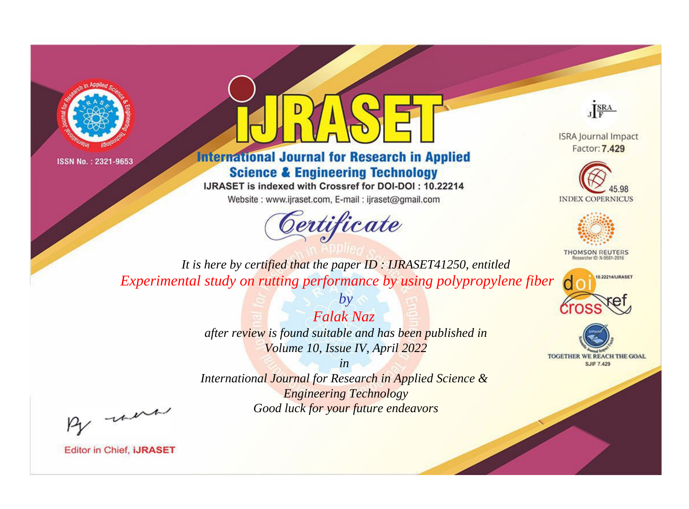



**International Journal for Research in Applied Science & Engineering Technology** 

IJRASET is indexed with Crossref for DOI-DOI: 10.22214

Website: www.ijraset.com, E-mail: ijraset@gmail.com



JERA

**ISRA Journal Impact** Factor: 7.429





**THOMSON REUTERS** 



TOGETHER WE REACH THE GOAL **SJIF 7.429** 

It is here by certified that the paper ID: IJRASET41250, entitled Experimental study on rutting performance by using polypropylene fiber

> **Falak Naz** after review is found suitable and has been published in Volume 10, Issue IV, April 2022  $in$

 $b\nu$ 

International Journal for Research in Applied Science & **Engineering Technology** Good luck for your future endeavors

By morn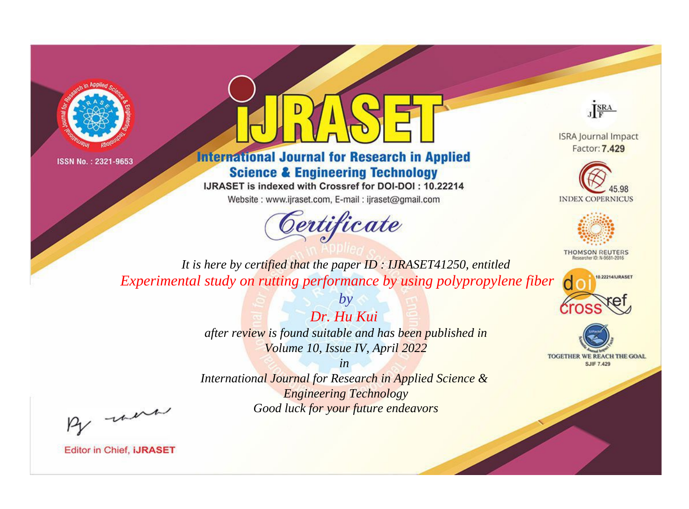



**International Journal for Research in Applied Science & Engineering Technology** 

IJRASET is indexed with Crossref for DOI-DOI: 10.22214

Website: www.ijraset.com, E-mail: ijraset@gmail.com



JERA

**ISRA Journal Impact** Factor: 7.429





**THOMSON REUTERS** 



TOGETHER WE REACH THE GOAL **SJIF 7.429** 

*It is here by certified that the paper ID : IJRASET41250, entitled Experimental study on rutting performance by using polypropylene fiber*

> *by Dr. Hu Kui*

*after review is found suitable and has been published in Volume 10, Issue IV, April 2022*

*in* 

*International Journal for Research in Applied Science & Engineering Technology Good luck for your future endeavors*

By morn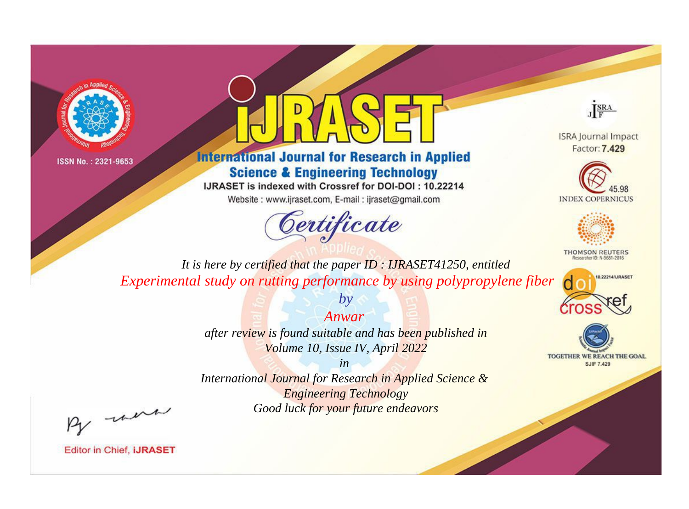



**International Journal for Research in Applied Science & Engineering Technology** 

IJRASET is indexed with Crossref for DOI-DOI: 10.22214

Website: www.ijraset.com, E-mail: ijraset@gmail.com



JERA

**ISRA Journal Impact** Factor: 7.429





**THOMSON REUTERS** 



TOGETHER WE REACH THE GOAL **SJIF 7.429** 

*It is here by certified that the paper ID : IJRASET41250, entitled Experimental study on rutting performance by using polypropylene fiber*

*Anwar* 

*by*

*after review is found suitable and has been published in Volume 10, Issue IV, April 2022*

*in* 

*International Journal for Research in Applied Science & Engineering Technology Good luck for your future endeavors*

By morn